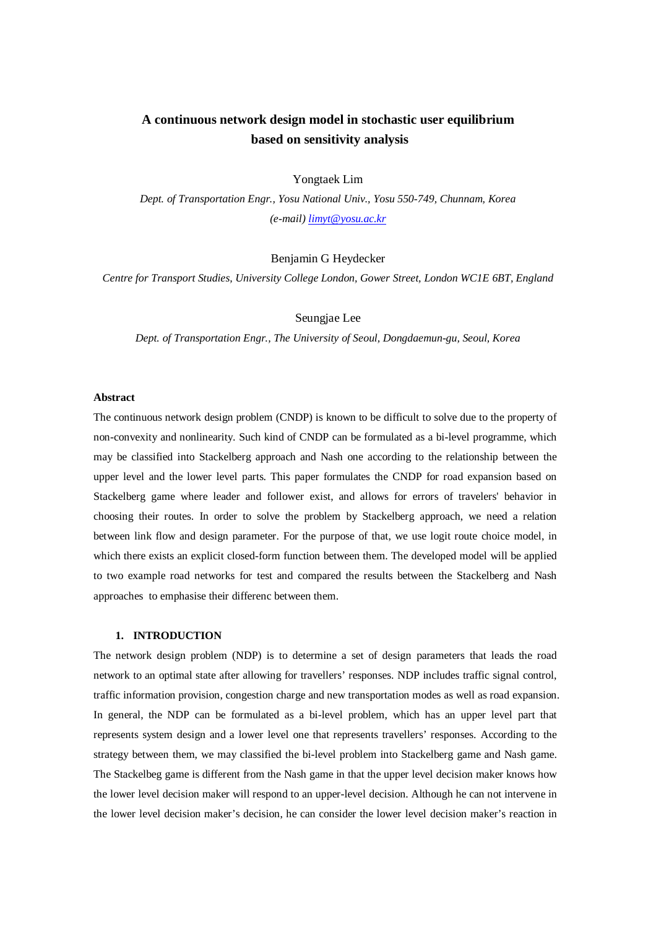# **A continuous network design model in stochastic user equilibrium based on sensitivity analysis**

Yongtaek Lim

*Dept. of Transportation Engr., Yosu National Univ., Yosu 550-749, Chunnam, Korea (e-mail) limyt@yosu.ac.kr*

Benjamin G Heydecker

*Centre for Transport Studies, University College London, Gower Street, London WC1E 6BT, England* 

Seungjae Lee

*Dept. of Transportation Engr., The University of Seoul, Dongdaemun-gu, Seoul, Korea* 

## **Abstract**

The continuous network design problem (CNDP) is known to be difficult to solve due to the property of non-convexity and nonlinearity. Such kind of CNDP can be formulated as a bi-level programme, which may be classified into Stackelberg approach and Nash one according to the relationship between the upper level and the lower level parts. This paper formulates the CNDP for road expansion based on Stackelberg game where leader and follower exist, and allows for errors of travelers' behavior in choosing their routes. In order to solve the problem by Stackelberg approach, we need a relation between link flow and design parameter. For the purpose of that, we use logit route choice model, in which there exists an explicit closed-form function between them. The developed model will be applied to two example road networks for test and compared the results between the Stackelberg and Nash approaches to emphasise their differenc between them.

# **1. INTRODUCTION**

The network design problem (NDP) is to determine a set of design parameters that leads the road network to an optimal state after allowing for travellers' responses. NDP includes traffic signal control, traffic information provision, congestion charge and new transportation modes as well as road expansion. In general, the NDP can be formulated as a bi-level problem, which has an upper level part that represents system design and a lower level one that represents travellers' responses. According to the strategy between them, we may classified the bi-level problem into Stackelberg game and Nash game. The Stackelbeg game is different from the Nash game in that the upper level decision maker knows how the lower level decision maker will respond to an upper-level decision. Although he can not intervene in the lower level decision maker's decision, he can consider the lower level decision maker's reaction in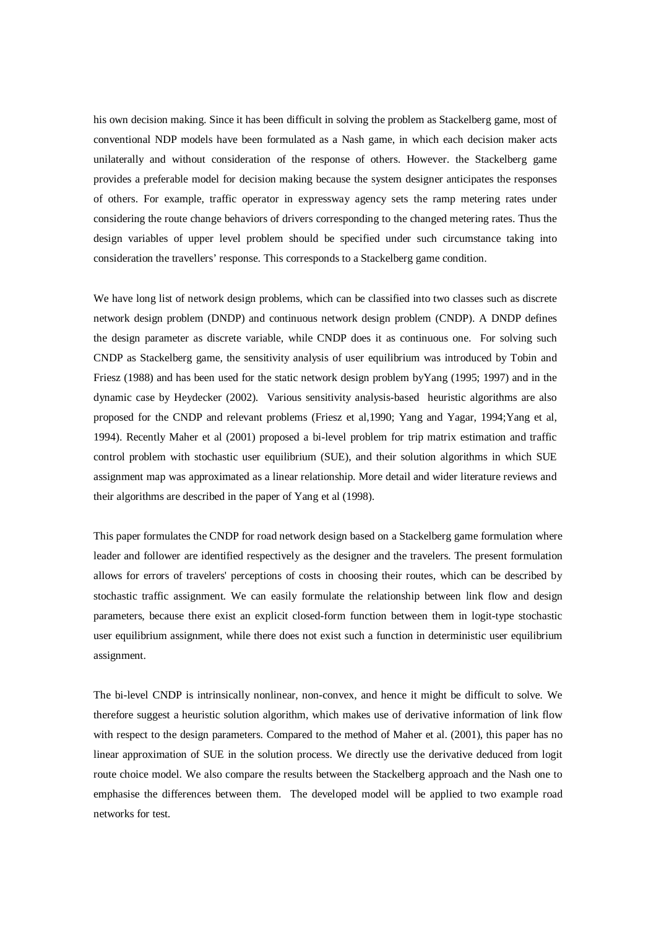his own decision making. Since it has been difficult in solving the problem as Stackelberg game, most of conventional NDP models have been formulated as a Nash game, in which each decision maker acts unilaterally and without consideration of the response of others. However. the Stackelberg game provides a preferable model for decision making because the system designer anticipates the responses of others. For example, traffic operator in expressway agency sets the ramp metering rates under considering the route change behaviors of drivers corresponding to the changed metering rates. Thus the design variables of upper level problem should be specified under such circumstance taking into consideration the travellers' response. This corresponds to a Stackelberg game condition.

We have long list of network design problems, which can be classified into two classes such as discrete network design problem (DNDP) and continuous network design problem (CNDP). A DNDP defines the design parameter as discrete variable, while CNDP does it as continuous one. For solving such CNDP as Stackelberg game, the sensitivity analysis of user equilibrium was introduced by Tobin and Friesz (1988) and has been used for the static network design problem byYang (1995; 1997) and in the dynamic case by Heydecker (2002). Various sensitivity analysis-based heuristic algorithms are also proposed for the CNDP and relevant problems (Friesz et al,1990; Yang and Yagar, 1994;Yang et al, 1994). Recently Maher et al (2001) proposed a bi-level problem for trip matrix estimation and traffic control problem with stochastic user equilibrium (SUE), and their solution algorithms in which SUE assignment map was approximated as a linear relationship. More detail and wider literature reviews and their algorithms are described in the paper of Yang et al (1998).

This paper formulates the CNDP for road network design based on a Stackelberg game formulation where leader and follower are identified respectively as the designer and the travelers. The present formulation allows for errors of travelers' perceptions of costs in choosing their routes, which can be described by stochastic traffic assignment. We can easily formulate the relationship between link flow and design parameters, because there exist an explicit closed-form function between them in logit-type stochastic user equilibrium assignment, while there does not exist such a function in deterministic user equilibrium assignment.

The bi-level CNDP is intrinsically nonlinear, non-convex, and hence it might be difficult to solve. We therefore suggest a heuristic solution algorithm, which makes use of derivative information of link flow with respect to the design parameters. Compared to the method of Maher et al. (2001), this paper has no linear approximation of SUE in the solution process. We directly use the derivative deduced from logit route choice model. We also compare the results between the Stackelberg approach and the Nash one to emphasise the differences between them. The developed model will be applied to two example road networks for test.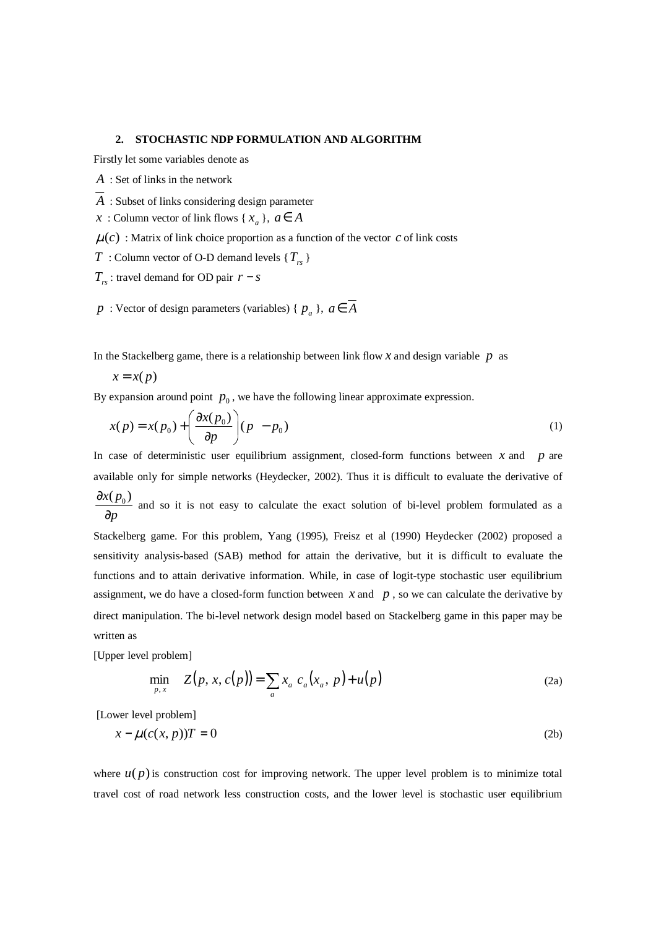## **2. STOCHASTIC NDP FORMULATION AND ALGORITHM**

Firstly let some variables denote as

- *A* : Set of links in the network
- *A* : Subset of links considering design parameter
- *x* : Column vector of link flows {  $x_a$  },  $a \in A$
- $\mu(c)$ : Matrix of link choice proportion as a function of the vector *c* of link costs
- *T* : Column vector of O-D demand levels {*Trs* }
- $T_{rs}$ : travel demand for OD pair  $r s$
- *p* : Vector of design parameters (variables) {  $p_a$  },  $a \in A$

In the Stackelberg game, there is a relationship between link flow  $x$  and design variable  $p$  as

$$
x = x(p)
$$

By expansion around point  $p_0$ , we have the following linear approximate expression.

$$
x(p) = x(p_0) + \left(\frac{\partial x(p_0)}{\partial p}\right)(p - p_0)
$$
\n(1)

In case of deterministic user equilibrium assignment, closed-form functions between *x* and *p* are available only for simple networks (Heydecker, 2002). Thus it is difficult to evaluate the derivative of  $x(p_{0})$ *p* ∂  $\frac{\Delta F(0)}{\Delta p}$  and so it is not easy to calculate the exact solution of bi-level problem formulated as a  $\partial p$ Stackelberg game. For this problem, Yang (1995), Freisz et al (1990) Heydecker (2002) proposed a sensitivity analysis-based (SAB) method for attain the derivative, but it is difficult to evaluate the functions and to attain derivative information. While, in case of logit-type stochastic user equilibrium assignment, we do have a closed-form function between  $x$  and  $p$ , so we can calculate the derivative by direct manipulation. The bi-level network design model based on Stackelberg game in this paper may be written as

[Upper level problem]

$$
\min_{p,x} \quad Z(p,x,c(p)) = \sum_{a} x_a \ c_a(x_a, p) + u(p) \tag{2a}
$$

[Lower level problem]

$$
x - \mu(c(x, p))T = 0 \tag{2b}
$$

where  $u(p)$  is construction cost for improving network. The upper level problem is to minimize total travel cost of road network less construction costs, and the lower level is stochastic user equilibrium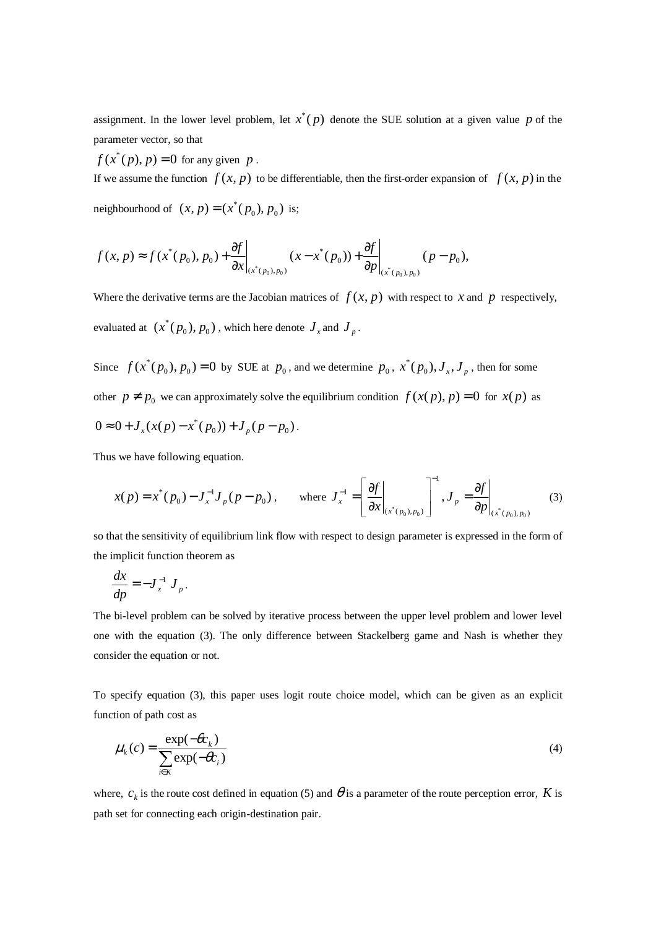assignment. In the lower level problem, let  $x^*(p)$  denote the SUE solution at a given value p of the parameter vector, so that

 $f(x^*(p), p) = 0$  for any given *p*.

If we assume the function  $f(x, p)$  to be differentiable, then the first-order expansion of  $f(x, p)$  in the

neighbourhood of  $(x, p) = (x^*(p_0), p_0)$  is;

$$
f(x, p) \approx f(x^*(p_0), p_0) + \frac{\partial f}{\partial x}\bigg|_{(x^*(p_0), p_0)} (x - x^*(p_0)) + \frac{\partial f}{\partial p}\bigg|_{(x^*(p_0), p_0)} (p - p_0),
$$

Where the derivative terms are the Jacobian matrices of  $f(x, p)$  with respect to *x* and *p* respectively, evaluated at  $(x^*(p_0), p_0)$ , which here denote  $J_x$  and  $J_p$ .

Since  $f(x^*(p_0), p_0) = 0$  by SUE at  $p_0$ , and we determine  $p_0, x^*$  $x^*(p_{\overline{0}}),$   $J_{\overline{x}},$   $J_{\overline{p}}$  , then for some other  $p \neq p_0$  we can approximately solve the equilibrium condition  $f(x(p), p) = 0$  for  $x(p)$  as  $0 \approx 0 + J_x(x(p) - x^*(p_0)) + J_p(p - p_0).$ 

Thus we have following equation.

$$
x(p) = x^*(p_0) - J_x^{-1} J_p(p - p_0), \quad \text{where } J_x^{-1} = \left[ \frac{\partial f}{\partial x} \Big|_{(x^*(p_0), p_0)} \right]^{-1}, J_p = \frac{\partial f}{\partial p} \Big|_{(x^*(p_0), p_0)} \tag{3}
$$

so that the sensitivity of equilibrium link flow with respect to design parameter is expressed in the form of the implicit function theorem as

$$
\frac{dx}{dp} = -J_x^{-1} J_p.
$$

The bi-level problem can be solved by iterative process between the upper level problem and lower level one with the equation (3). The only difference between Stackelberg game and Nash is whether they consider the equation or not.

To specify equation (3), this paper uses logit route choice model, which can be given as an explicit function of path cost as

$$
\mu_k(c) = \frac{\exp(-\theta c_k)}{\sum_{i \in K} \exp(-\theta c_i)}
$$
\n(4)

where,  $c_k$  is the route cost defined in equation (5) and  $\theta$  is a parameter of the route perception error, *K* is path set for connecting each origin-destination pair.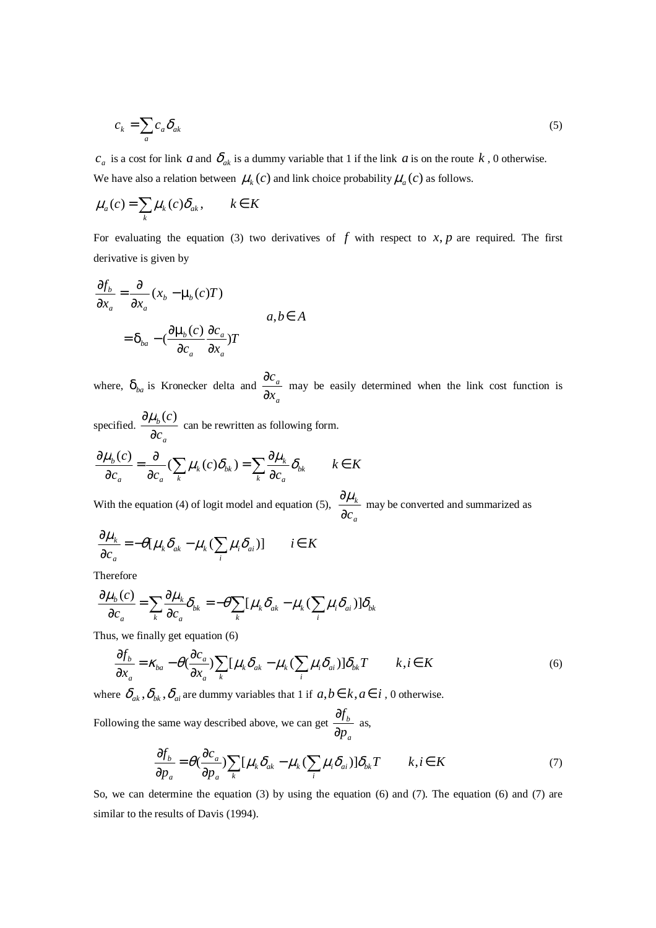$$
c_k = \sum_a c_a \delta_{ak} \tag{5}
$$

 $c_a$  is a cost for link *a* and  $\delta_{ak}$  is a dummy variable that 1 if the link *a* is on the route *k*, 0 otherwise. We have also a relation between  $\mu_k(c)$  and link choice probability  $\mu_a(c)$  as follows.

$$
\mu_a(c) = \sum_k \mu_k(c)\delta_{ak}, \qquad k \in K
$$

For evaluating the equation (3) two derivatives of  $f$  with respect to  $x, p$  are required. The first derivative is given by

$$
\frac{\partial f_b}{\partial x_a} = \frac{\partial}{\partial x_a} (x_b - \mu_b(c)T)
$$
  
=  $\delta_{ba} - (\frac{\partial \mu_b(c)}{\partial c_a} \frac{\partial c_a}{\partial x_a})T$   $a, b \in A$ 

where,  $\delta_{ba}$  is Kronecker delta and *a a x c* ∂  $\frac{\partial c_a}{\partial r_a}$  may be easily determined when the link cost function is

specified. *a b c c* ∂  $\frac{\partial \mu_b(c)}{\partial \theta}$  can be rewritten as following form.

$$
\frac{\partial \mu_b(c)}{\partial c_a} = \frac{\partial}{\partial c_a} \left( \sum_k \mu_k(c) \delta_{bk} \right) = \sum_k \frac{\partial \mu_k}{\partial c_a} \delta_{bk} \qquad k \in K
$$

With the equation (4) of logit model and equation (5), *a k* ∂*c*  $\frac{\partial \mu_k}{\partial \sigma_k}$  may be converted and summarized as

$$
\frac{\partial \mu_k}{\partial c_a} = -\theta [\mu_k \delta_{ak} - \mu_k (\sum_i \mu_i \delta_{ai})] \qquad i \in K
$$

Therefore

$$
\frac{\partial \mu_b(c)}{\partial c_a} = \sum_k \frac{\partial \mu_k}{\partial c_a} \delta_{bk} = -\theta \sum_k [\mu_k \delta_{ak} - \mu_k (\sum_i \mu_i \delta_{ai})] \delta_{bk}
$$

Thus, we finally get equation (6)

$$
\frac{\partial f_b}{\partial x_a} = \kappa_{ba} - \theta \left( \frac{\partial c_a}{\partial x_a} \right) \sum_k [\mu_k \delta_{ak} - \mu_k (\sum_i \mu_i \delta_{ai})] \delta_{bk} T \qquad k, i \in K
$$
\n<sup>(6)</sup>

where  $\delta_{ak}$ ,  $\delta_{bk}$ ,  $\delta_{ai}$  are dummy variables that 1 if  $a, b \in k, a \in i$ , 0 otherwise.

Following the same way described above, we can get *a b p f* ∂  $\frac{\partial f_b}{\partial s}$  as,

$$
\frac{\partial f_b}{\partial p_a} = \theta(\frac{\partial c_a}{\partial p_a}) \sum_k [\mu_k \delta_{ak} - \mu_k (\sum_i \mu_i \delta_{ai})] \delta_{bk} T \qquad k, i \in K
$$
\n(7)

So, we can determine the equation (3) by using the equation (6) and (7). The equation (6) and (7) are similar to the results of Davis (1994).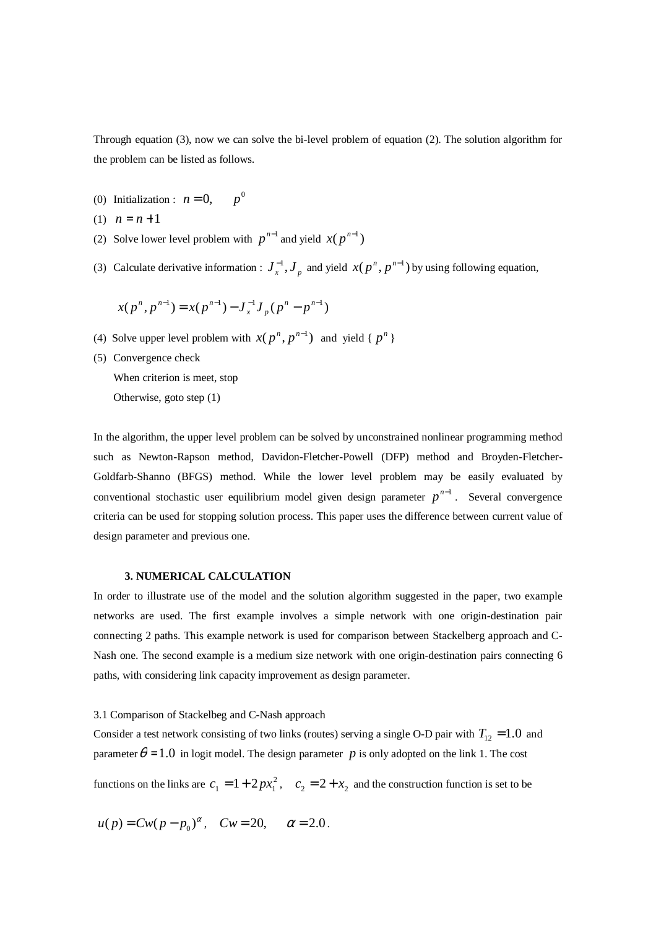Through equation (3), now we can solve the bi-level problem of equation (2). The solution algorithm for the problem can be listed as follows.

- (0) Initialization :  $n = 0$ ,  $p^0$
- (1)  $n = n + 1$
- (2) Solve lower level problem with  $p^{n-1}$  and yield  $x(p^{n-1})$
- (3) Calculate derivative information :  $J_x^{-1}$ ,  $J_p$  and yield  $x(p^n, p^{n-1})$  by using following equation,

$$
x(p^n, p^{n-1}) = x(p^{n-1}) - J_x^{-1} J_p(p^n - p^{n-1})
$$

- (4) Solve upper level problem with  $x(p^n, p^{n-1})$  and yield {  $p^n$  }
- (5) Convergence check

When criterion is meet, stop

Otherwise, goto step (1)

In the algorithm, the upper level problem can be solved by unconstrained nonlinear programming method such as Newton-Rapson method, Davidon-Fletcher-Powell (DFP) method and Broyden-Fletcher-Goldfarb-Shanno (BFGS) method. While the lower level problem may be easily evaluated by conventional stochastic user equilibrium model given design parameter  $p^{n-1}$ . Several convergence criteria can be used for stopping solution process. This paper uses the difference between current value of design parameter and previous one.

# **3. NUMERICAL CALCULATION**

In order to illustrate use of the model and the solution algorithm suggested in the paper, two example networks are used. The first example involves a simple network with one origin-destination pair connecting 2 paths. This example network is used for comparison between Stackelberg approach and C-Nash one. The second example is a medium size network with one origin-destination pairs connecting 6 paths, with considering link capacity improvement as design parameter.

### 3.1 Comparison of Stackelbeg and C-Nash approach

Consider a test network consisting of two links (routes) serving a single O-D pair with  $T_{12} = 1.0$  and parameter  $\theta = 1.0$  in logit model. The design parameter *p* is only adopted on the link 1. The cost

functions on the links are  $c_1 = 1 + 2px_1^2$ ,  $c_2 = 2 + x_2$  and the construction function is set to be

$$
u(p) = Cw(p - p_0)^{\alpha}
$$
,  $Cw = 20$ ,  $\alpha = 2.0$ .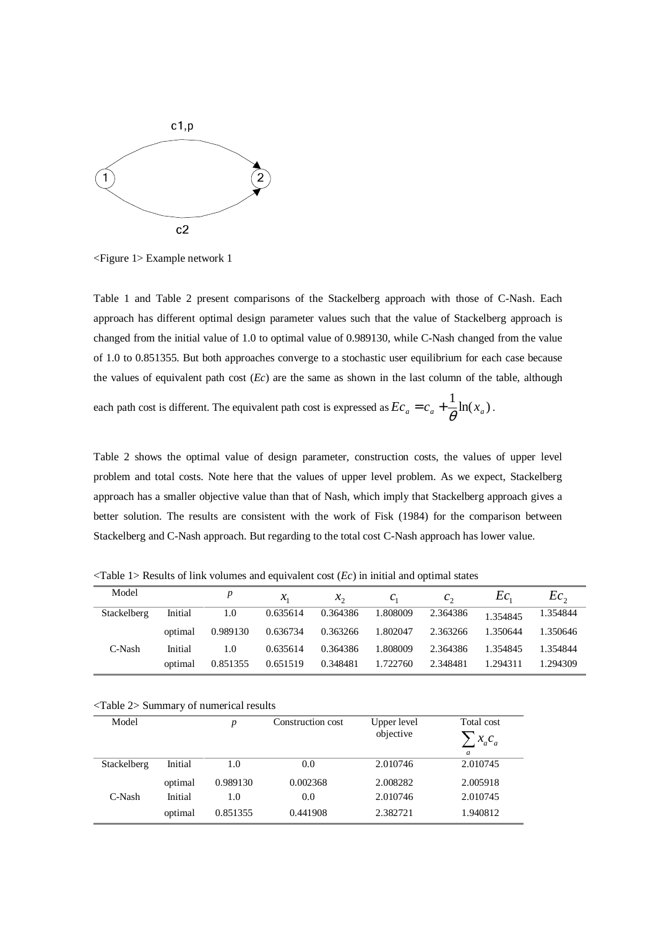

<Figure 1> Example network 1

Table 1 and Table 2 present comparisons of the Stackelberg approach with those of C-Nash. Each approach has different optimal design parameter values such that the value of Stackelberg approach is changed from the initial value of 1.0 to optimal value of 0.989130, while C-Nash changed from the value of 1.0 to 0.851355. But both approaches converge to a stochastic user equilibrium for each case because the values of equivalent path cost (*Ec*) are the same as shown in the last column of the table, although

each path cost is different. The equivalent path cost is expressed as  $Ec_a = c_a + \frac{1}{\theta} \ln(x_a)$ .

Table 2 shows the optimal value of design parameter, construction costs, the values of upper level problem and total costs. Note here that the values of upper level problem. As we expect, Stackelberg approach has a smaller objective value than that of Nash, which imply that Stackelberg approach gives a better solution. The results are consistent with the work of Fisk (1984) for the comparison between Stackelberg and C-Nash approach. But regarding to the total cost C-Nash approach has lower value.

| Model       |         |          | $\mathcal{X}_1$ | $\mathcal{X}_{\gamma}$ | $C_{1}$  | $c_{\gamma}$ | $_{tc.}$ | $Ec_{\alpha}$ |
|-------------|---------|----------|-----------------|------------------------|----------|--------------|----------|---------------|
| Stackelberg | Initial | 1.0      | 0.635614        | 0.364386               | 1.808009 | 2.364386     | 1.354845 | 1.354844      |
|             | optimal | 0.989130 | 0.636734        | 0.363266               | 1.802047 | 2.363266     | 1.350644 | 1.350646      |
| C-Nash      | Initial | 1.0      | 0.635614        | 0.364386               | 1.808009 | 2.364386     | 1.354845 | 1.354844      |
|             | optimal | 0.851355 | 0.651519        | 0.348481               | 1.722760 | 2.348481     | 1.294311 | 1.294309      |

 $\langle$ Table 1> Results of link volumes and equivalent cost  $(Ec)$  in initial and optimal states

<Table 2> Summary of numerical results

| Model       |         | $\boldsymbol{p}$ | Construction cost | Upper level<br>objective | Total cost<br>$x_a c_a$<br>a |
|-------------|---------|------------------|-------------------|--------------------------|------------------------------|
| Stackelberg | Initial | 1.0              | 0.0               | 2.010746                 | 2.010745                     |
|             | optimal | 0.989130         | 0.002368          | 2.008282                 | 2.005918                     |
| C-Nash      | Initial | 1.0              | 0.0               | 2.010746                 | 2.010745                     |
|             | optimal | 0.851355         | 0.441908          | 2.382721                 | 1.940812                     |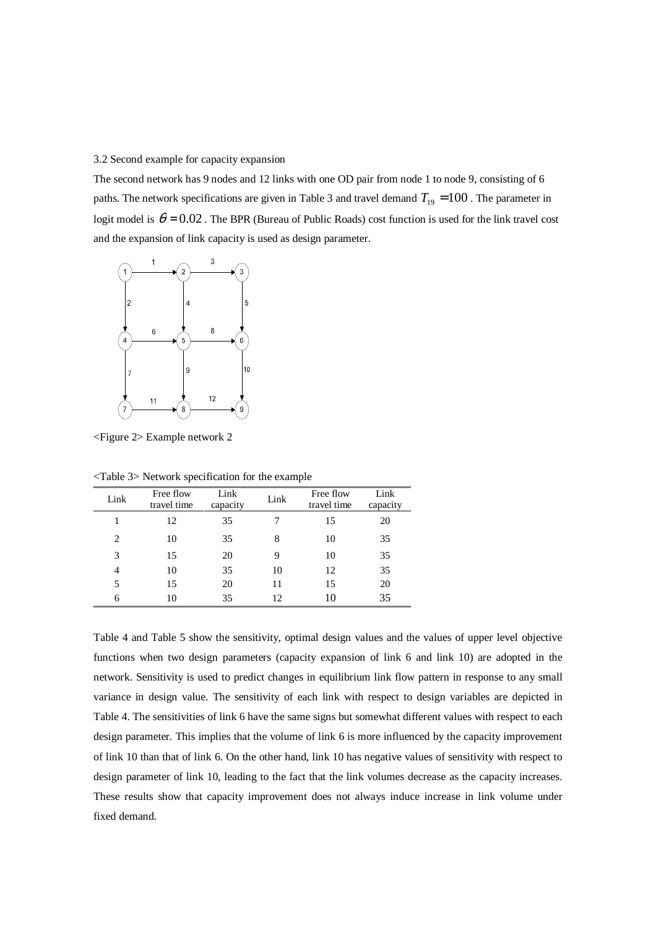3.2 Second example for capacity expansion

The second network has 9 nodes and 12 links with one OD pair from node 1 to node 9, consisting of 6 paths. The network specifications are given in Table 3 and travel demand  $T_{19} = 100$ . The parameter in logit model is  $\theta = 0.02$ . The BPR (Bureau of Public Roads) cost function is used for the link travel cost and the expansion of link capacity is used as design parameter.



<Figure 2> Example network 2

| Link                        | Free flow<br>travel time | Link<br>capacity | Link | Free flow<br>travel time | Link<br>capacity |
|-----------------------------|--------------------------|------------------|------|--------------------------|------------------|
|                             | 12                       | 35               |      | 15                       | 20               |
| $\mathcal{D}_{\mathcal{L}}$ | 10                       | 35               | 8    | 10                       | 35               |
| 3                           | 15                       | 20               | 9    | 10                       | 35               |
| 4                           | 10                       | 35               | 10   | 12                       | 35               |
|                             | 15                       | 20               | 11   | 15                       | 20               |
| 6                           | 10                       | 35               | 12   |                          | 35               |

<Table 3> Network specification for the example

Table 4 and Table 5 show the sensitivity, optimal design values and the values of upper level objective functions when two design parameters (capacity expansion of link 6 and link 10) are adopted in the network. Sensitivity is used to predict changes in equilibrium link flow pattern in response to any small variance in design value. The sensitivity of each link with respect to design variables are depicted in Table 4. The sensitivities of link 6 have the same signs but somewhat different values with respect to each design parameter. This implies that the volume of link 6 is more influenced by the capacity improvement of link 10 than that of link 6. On the other hand, link 10 has negative values of sensitivity with respect to design parameter of link 10, leading to the fact that the link volumes decrease as the capacity increases. These results show that capacity improvement does not always induce increase in link volume under fixed demand.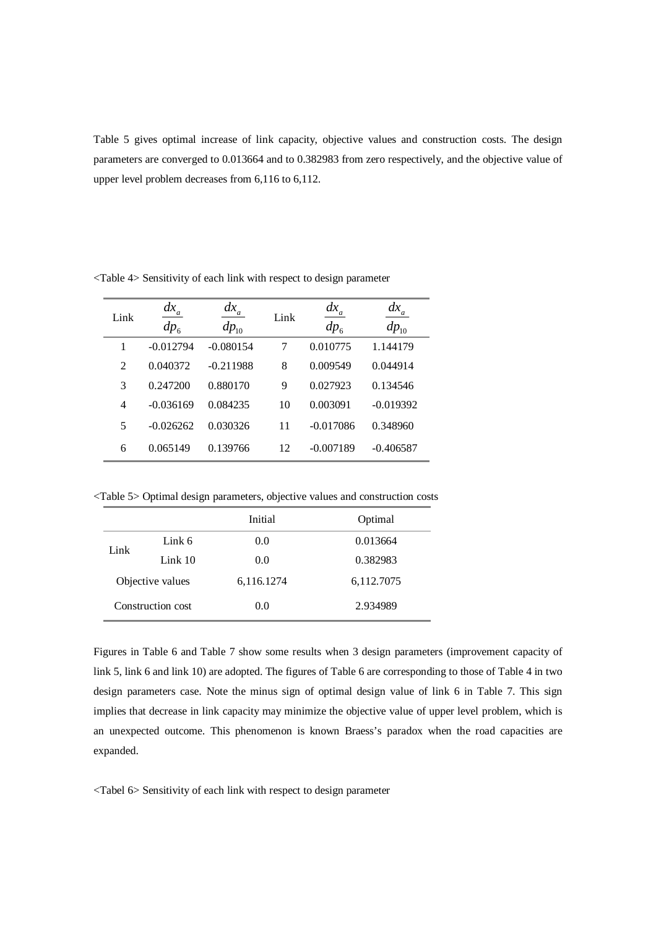Table 5 gives optimal increase of link capacity, objective values and construction costs. The design parameters are converged to 0.013664 and to 0.382983 from zero respectively, and the objective value of upper level problem decreases from 6,116 to 6,112.

| Link | $dx_a$<br>$dp_6$ | $dx_a$<br>$dp_{10}$ | Link | $dx_a$<br>$dp_6$ | $\frac{dx_a}{}$<br>$dp_{10}$ |
|------|------------------|---------------------|------|------------------|------------------------------|
| 1    | $-0.012794$      | $-0.080154$         | 7    | 0.010775         | 1.144179                     |
| 2    | 0.040372         | $-0.211988$         | 8    | 0.009549         | 0.044914                     |
| 3    | 0.247200         | 0.880170            | 9    | 0.027923         | 0.134546                     |
| 4    | $-0.036169$      | 0.084235            | 10   | 0.003091         | $-0.019392$                  |
| 5    | $-0.026262$      | 0.030326            | 11   | $-0.017086$      | 0.348960                     |
| 6    | 0.065149         | 0.139766            | 12   | $-0.007189$      | $-0.406587$                  |

<Table 4> Sensitivity of each link with respect to design parameter

<Table 5> Optimal design parameters, objective values and construction costs

|                   |           | Initial    | Optimal    |
|-------------------|-----------|------------|------------|
| Link              | Link 6    | 0.0        | 0.013664   |
|                   | Link $10$ | 0.0        | 0.382983   |
| Objective values  |           | 6,116.1274 | 6,112.7075 |
| Construction cost |           | 0.0        | 2.934989   |

Figures in Table 6 and Table 7 show some results when 3 design parameters (improvement capacity of link 5, link 6 and link 10) are adopted. The figures of Table 6 are corresponding to those of Table 4 in two design parameters case. Note the minus sign of optimal design value of link 6 in Table 7. This sign implies that decrease in link capacity may minimize the objective value of upper level problem, which is an unexpected outcome. This phenomenon is known Braess's paradox when the road capacities are expanded.

<Tabel 6> Sensitivity of each link with respect to design parameter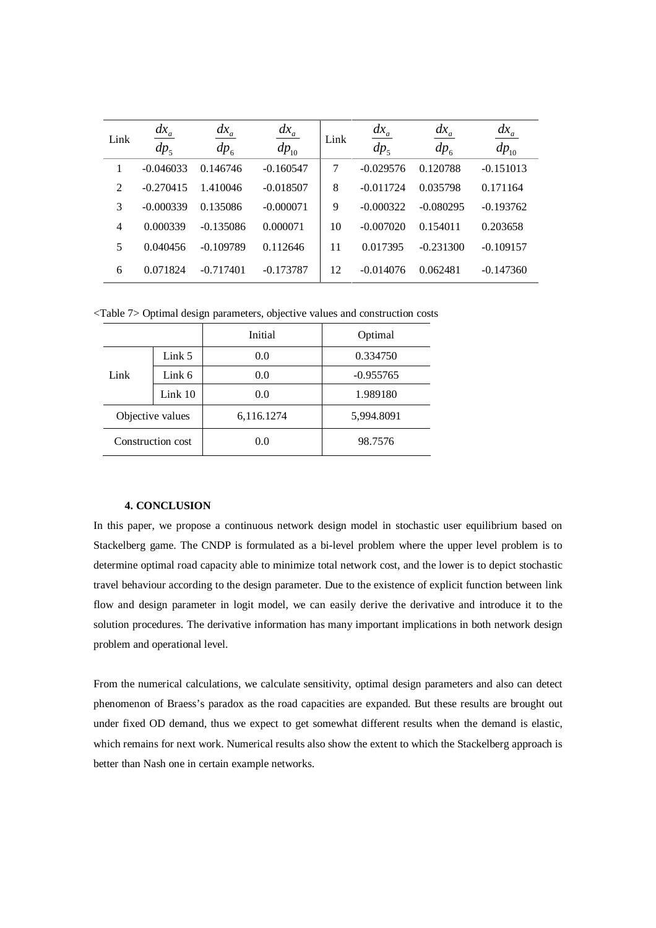| Link | $dx_a$<br>dp <sub>5</sub> | $\frac{dx}{a}$<br>$dp_{6}$ | $\frac{dx_a}{}$<br>$dp_{10}$ | Link | $dx_a$<br>$dp_5$ | $dx_a$<br>$dp_{6}$ | $\frac{dx_a}{}$<br>$dp_{10}$ |
|------|---------------------------|----------------------------|------------------------------|------|------------------|--------------------|------------------------------|
| 1    | $-0.046033$               | 0.146746                   | $-0.160547$                  | 7    | $-0.029576$      | 0.120788           | $-0.151013$                  |
| 2    | $-0.270415$               | 1.410046                   | $-0.018507$                  | 8    | $-0.011724$      | 0.035798           | 0.171164                     |
| 3    | $-0.000339$               | 0.135086                   | $-0.000071$                  | 9    | $-0.000322$      | $-0.080295$        | $-0.193762$                  |
| 4    | 0.000339                  | $-0.135086$                | 0.000071                     | 10   | $-0.007020$      | 0.154011           | 0.203658                     |
| 5    | 0.040456                  | $-0.109789$                | 0.112646                     | 11   | 0.017395         | $-0.231300$        | $-0.109157$                  |
| 6    | 0.071824                  | $-0.717401$                | $-0.173787$                  | 12   | $-0.014076$      | 0.062481           | $-0.147360$                  |

<Table 7> Optimal design parameters, objective values and construction costs

|                   |                   | Initial    | Optimal     |  |
|-------------------|-------------------|------------|-------------|--|
|                   | Link <sub>5</sub> | 0.0        | 0.334750    |  |
| Link              | Link 6            | 0.0        | $-0.955765$ |  |
|                   | Link 10           | 0.0        | 1.989180    |  |
| Objective values  |                   | 6,116.1274 | 5,994.8091  |  |
| Construction cost |                   | 0.0        | 98.7576     |  |

# **4. CONCLUSION**

In this paper, we propose a continuous network design model in stochastic user equilibrium based on Stackelberg game. The CNDP is formulated as a bi-level problem where the upper level problem is to determine optimal road capacity able to minimize total network cost, and the lower is to depict stochastic travel behaviour according to the design parameter. Due to the existence of explicit function between link flow and design parameter in logit model, we can easily derive the derivative and introduce it to the solution procedures. The derivative information has many important implications in both network design problem and operational level.

From the numerical calculations, we calculate sensitivity, optimal design parameters and also can detect phenomenon of Braess's paradox as the road capacities are expanded. But these results are brought out under fixed OD demand, thus we expect to get somewhat different results when the demand is elastic, which remains for next work. Numerical results also show the extent to which the Stackelberg approach is better than Nash one in certain example networks.